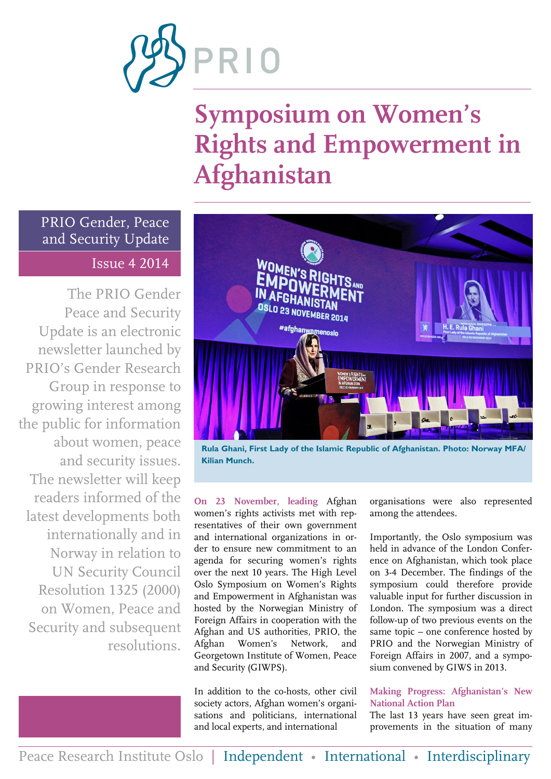

# **Symposium on Women's Rights and Empowerment in Afghanistan**

PRIO Gender, Peace and Security Update Issue 4 2014

The PRIO Gender Peace and Security Update is an electronic newsletter launched by PRIO's Gender Research Group in response to growing interest among the public for information about women, peace and security issues. The newsletter will keep readers informed of the latest developments both internationally and in Norway in relation to UN Security Council Resolution 1325 (2000) on Women, Peace and Security and subsequent resolutions.



**Rula Ghani, First Lady of the Islamic Republic of Afghanistan. Photo: Norway MFA/ Kilian Munch.**

**On 23 November, leading** Afghan women's rights activists met with representatives of their own government and international organizations in order to ensure new commitment to an agenda for securing women's rights over the next 10 years. The High Level Oslo Symposium on Women's Rights and Empowerment in Afghanistan was hosted by the Norwegian Ministry of Foreign Affairs in cooperation with the Afghan and US authorities, PRIO, the Afghan Women's Network, and Georgetown Institute of Women, Peace and Security (GIWPS).

In addition to the co-hosts, other civil society actors, Afghan women's organisations and politicians, international and local experts, and international

organisations were also represented among the attendees.

Importantly, the Oslo symposium was held in advance of the London Conference on Afghanistan, which took place on 3-4 December. The findings of the symposium could therefore provide valuable input for further discussion in London. The symposium was a direct follow-up of two previous events on the same topic – one conference hosted by PRIO and the Norwegian Ministry of Foreign Affairs in 2007, and a symposium convened by GIWS in 2013.

### **Making Progress: Afghanistan's New National Action Plan**

The last 13 years have seen great improvements in the situation of many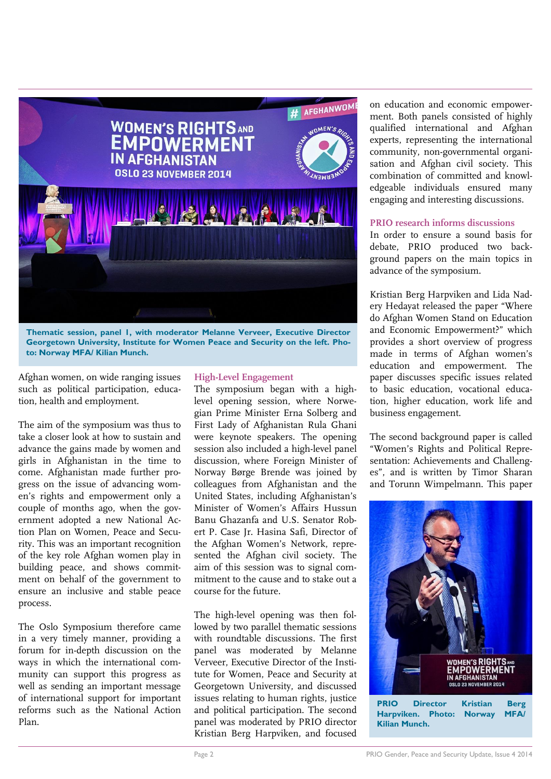

**Thematic session, panel 1, with moderator Melanne Verveer, Executive Director Georgetown University, Institute for Women Peace and Security on the left. Photo: Norway MFA/ Kilian Munch.**

Afghan women, on wide ranging issues such as political participation, education, health and employment.

The aim of the symposium was thus to take a closer look at how to sustain and advance the gains made by women and girls in Afghanistan in the time to come. Afghanistan made further progress on the issue of advancing women's rights and empowerment only a couple of months ago, when the government adopted a new National Action Plan on Women, Peace and Security. This was an important recognition of the key role Afghan women play in building peace, and shows commitment on behalf of the government to ensure an inclusive and stable peace process.

The Oslo Symposium therefore came in a very timely manner, providing a forum for in-depth discussion on the ways in which the international community can support this progress as well as sending an important message of international support for important reforms such as the National Action Plan.

### **High-Level Engagement**

The symposium began with a highlevel opening session, where Norwegian Prime Minister Erna Solberg and First Lady of Afghanistan Rula Ghani were keynote speakers. The opening session also included a high-level panel discussion, where Foreign Minister of Norway Børge Brende was joined by colleagues from Afghanistan and the United States, including Afghanistan's Minister of Women's Affairs Hussun Banu Ghazanfa and U.S. Senator Robert P. Case Jr. Hasina Safi, Director of the Afghan Women's Network, represented the Afghan civil society. The aim of this session was to signal commitment to the cause and to stake out a course for the future.

The high-level opening was then followed by two parallel thematic sessions with roundtable discussions. The first panel was moderated by Melanne Verveer, Executive Director of the Institute for Women, Peace and Security at Georgetown University, and discussed issues relating to human rights, justice and political participation. The second panel was moderated by PRIO director Kristian Berg Harpviken, and focused

on education and economic empowerment. Both panels consisted of highly qualified international and Afghan experts, representing the international community, non-governmental organisation and Afghan civil society. This combination of committed and knowledgeable individuals ensured many engaging and interesting discussions.

### **PRIO research informs discussions**

In order to ensure a sound basis for debate, PRIO produced two background papers on the main topics in advance of the symposium.

Kristian Berg Harpviken and Lida Nadery Hedayat released the paper "Where do Afghan Women Stand on Education and Economic Empowerment?" which provides a short overview of progress made in terms of Afghan women's education and empowerment. The paper discusses specific issues related to basic education, vocational education, higher education, work life and business engagement.

The second background paper is called "Women's Rights and Political Representation: Achievements and Challenges", and is written by Timor Sharan and Torunn Wimpelmann. This paper



**PRIO Director Kristian Berg Harpviken. Photo: Norway MFA/ Kilian Munch.**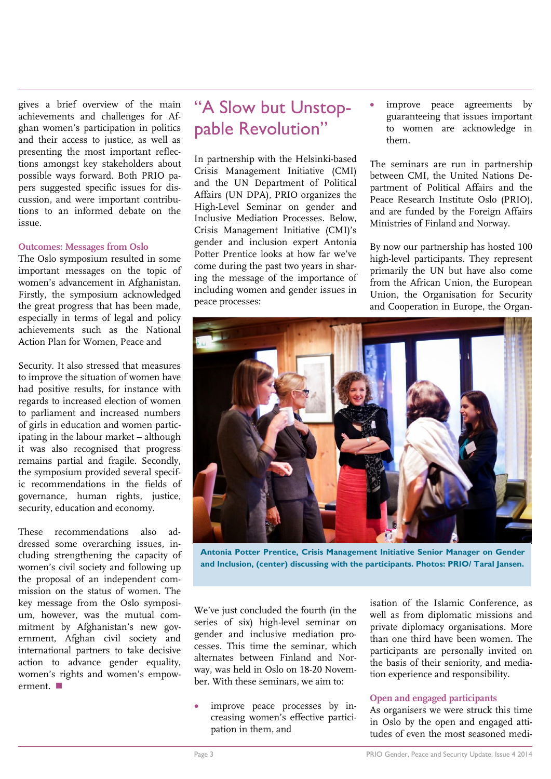gives a brief overview of the main achievements and challenges for Afghan women's participation in politics and their access to justice, as well as presenting the most important reflections amongst key stakeholders about possible ways forward. Both PRIO papers suggested specific issues for discussion, and were important contributions to an informed debate on the issue.

### **Outcomes: Messages from Oslo**

The Oslo symposium resulted in some important messages on the topic of women's advancement in Afghanistan. Firstly, the symposium acknowledged the great progress that has been made, especially in terms of legal and policy achievements such as the National Action Plan for Women, Peace and

Security. It also stressed that measures to improve the situation of women have had positive results, for instance with regards to increased election of women to parliament and increased numbers of girls in education and women participating in the labour market – although it was also recognised that progress remains partial and fragile. Secondly, the symposium provided several specific recommendations in the fields of governance, human rights, justice, security, education and economy.

These recommendations also addressed some overarching issues, including strengthening the capacity of women's civil society and following up the proposal of an independent commission on the status of women. The key message from the Oslo symposium, however, was the mutual commitment by Afghanistan's new government, Afghan civil society and international partners to take decisive action to advance gender equality, women's rights and women's empowerment.

### "A Slow but Unstoppable Revolution"

In partnership with the Helsinki-based Crisis Management Initiative (CMI) and the UN Department of Political Affairs (UN DPA), PRIO organizes the High-Level Seminar on gender and Inclusive Mediation Processes. Below, Crisis Management Initiative (CMI)'s gender and inclusion expert Antonia Potter Prentice looks at how far we've come during the past two years in sharing the message of the importance of including women and gender issues in peace processes:

 improve peace agreements by guaranteeing that issues important to women are acknowledge in them.

The seminars are run in partnership between CMI, the United Nations Department of Political Affairs and the Peace Research Institute Oslo (PRIO), and are funded by the Foreign Affairs Ministries of Finland and Norway.

By now our partnership has hosted 100 high-level participants. They represent primarily the UN but have also come from the African Union, the European Union, the Organisation for Security and Cooperation in Europe, the Organ-



**Antonia Potter Prentice, Crisis Management Initiative Senior Manager on Gender and Inclusion, (center) discussing with the participants. Photos: PRIO/ Taral Jansen.**

We've just concluded the fourth (in the series of six) high-level seminar on gender and inclusive mediation processes. This time the seminar, which alternates between Finland and Norway, was held in Oslo on 18-20 November. With these seminars, we aim to:

 improve peace processes by increasing women's effective participation in them, and

isation of the Islamic Conference, as well as from diplomatic missions and private diplomacy organisations. More than one third have been women. The participants are personally invited on the basis of their seniority, and mediation experience and responsibility.

### **Open and engaged participants**

As organisers we were struck this time in Oslo by the open and engaged attitudes of even the most seasoned medi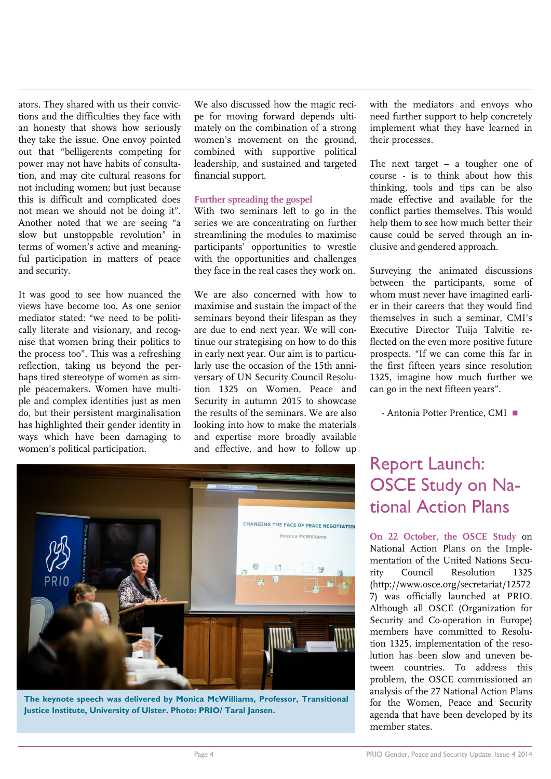ators. They shared with us their convictions and the difficulties they face with an honesty that shows how seriously they take the issue. One envoy pointed out that "belligerents competing for power may not have habits of consultation, and may cite cultural reasons for not including women; but just because this is difficult and complicated does not mean we should not be doing it". Another noted that we are seeing "a slow but unstoppable revolution" in terms of women's active and meaningful participation in matters of peace and security.

It was good to see how nuanced the views have become too. As one senior mediator stated: "we need to be politically literate and visionary, and recognise that women bring their politics to the process too". This was a refreshing reflection, taking us beyond the perhaps tired stereotype of women as simple peacemakers. Women have multiple and complex identities just as men do, but their persistent marginalisation has highlighted their gender identity in ways which have been damaging to women's political participation.

We also discussed how the magic recipe for moving forward depends ultimately on the combination of a strong women's movement on the ground, combined with supportive political leadership, and sustained and targeted financial support.

### **Further spreading the gospel**

With two seminars left to go in the series we are concentrating on further streamlining the modules to maximise participants' opportunities to wrestle with the opportunities and challenges they face in the real cases they work on.

We are also concerned with how to maximise and sustain the impact of the seminars beyond their lifespan as they are due to end next year. We will continue our strategising on how to do this in early next year. Our aim is to particularly use the occasion of the 15th anniversary of UN Security Council Resolution 1325 on Women, Peace and Security in autumn 2015 to showcase the results of the seminars. We are also looking into how to make the materials and expertise more broadly available and effective, and how to follow up

with the mediators and envoys who need further support to help concretely implement what they have learned in their processes.

The next target – a tougher one of course - is to think about how this thinking, tools and tips can be also made effective and available for the conflict parties themselves. This would help them to see how much better their cause could be served through an inclusive and gendered approach.

Surveying the animated discussions between the participants, some of whom must never have imagined earlier in their careers that they would find themselves in such a seminar, CMI's Executive Director Tuija Talvitie reflected on the even more positive future prospects. "If we can come this far in the first fifteen years since resolution 1325, imagine how much further we can go in the next fifteen years".

- Antonia Potter Prentice, CMI

### Report Launch: OSCE Study on National Action Plans

**On 22 October, the OSCE Study** on National Action Plans on the Implementation of the United Nations Security Council Resolution 1325 (http://www.osce.org/secretariat/12572 7) was officially launched at PRIO. Although all OSCE (Organization for Security and Co-operation in Europe) members have committed to Resolution 1325, implementation of the resolution has been slow and uneven between countries. To address this problem, the OSCE commissioned an analysis of the 27 National Action Plans for the Women, Peace and Security agenda that have been developed by its member states.



**The keynote speech was delivered by Monica McWilliams, Professor, Transitional Justice Institute, University of Ulster. Photo: PRIO/ Taral Jansen.**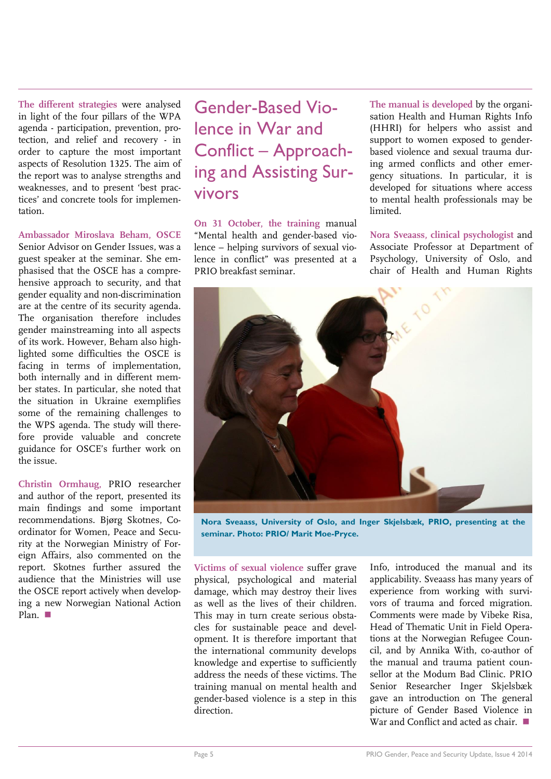**The different strategies** were analysed in light of the four pillars of the WPA agenda - participation, prevention, protection, and relief and recovery - in order to capture the most important aspects of Resolution 1325. The aim of the report was to analyse strengths and weaknesses, and to present 'best practices' and concrete tools for implementation.

### **Ambassador Miroslava Beham, OSCE**

Senior Advisor on Gender Issues, was a guest speaker at the seminar. She emphasised that the OSCE has a comprehensive approach to security, and that gender equality and non-discrimination are at the centre of its security agenda. The organisation therefore includes gender mainstreaming into all aspects of its work. However, Beham also highlighted some difficulties the OSCE is facing in terms of implementation, both internally and in different member states. In particular, she noted that the situation in Ukraine exemplifies some of the remaining challenges to the WPS agenda. The study will therefore provide valuable and concrete guidance for OSCE's further work on the issue.

**Christin Ormhaug,** PRIO researcher and author of the report, presented its main findings and some important recommendations. Bjørg Skotnes, Coordinator for Women, Peace and Security at the Norwegian Ministry of Foreign Affairs, also commented on the report. Skotnes further assured the audience that the Ministries will use the OSCE report actively when developing a new Norwegian National Action Plan.

Gender-Based Violence in War and Conflict – Approaching and Assisting Survivors

**On 31 October, the training** manual "Mental health and gender-based violence – helping survivors of sexual violence in conflict" was presented at a PRIO breakfast seminar.

**The manual is developed** by the organisation Health and Human Rights Info (HHRI) for helpers who assist and support to women exposed to genderbased violence and sexual trauma during armed conflicts and other emergency situations. In particular, it is developed for situations where access to mental health professionals may be limited.

**Nora Sveaass, clinical psychologist** and Associate Professor at Department of Psychology, University of Oslo, and chair of Health and Human Rights



**Nora Sveaass, University of Oslo, and Inger Skjelsbæk, PRIO, presenting at the seminar. Photo: PRIO/ Marit Moe-Pryce.**

**Victims of sexual violence** suffer grave physical, psychological and material damage, which may destroy their lives as well as the lives of their children. This may in turn create serious obstacles for sustainable peace and development. It is therefore important that the international community develops knowledge and expertise to sufficiently address the needs of these victims. The training manual on mental health and gender-based violence is a step in this direction.

Info, introduced the manual and its applicability. Sveaass has many years of experience from working with survivors of trauma and forced migration. Comments were made by Vibeke Risa, Head of Thematic Unit in Field Operations at the Norwegian Refugee Council, and by Annika With, co-author of the manual and trauma patient counsellor at the Modum Bad Clinic. PRIO Senior Researcher Inger Skjelsbæk gave an introduction on The general picture of Gender Based Violence in War and Conflict and acted as chair.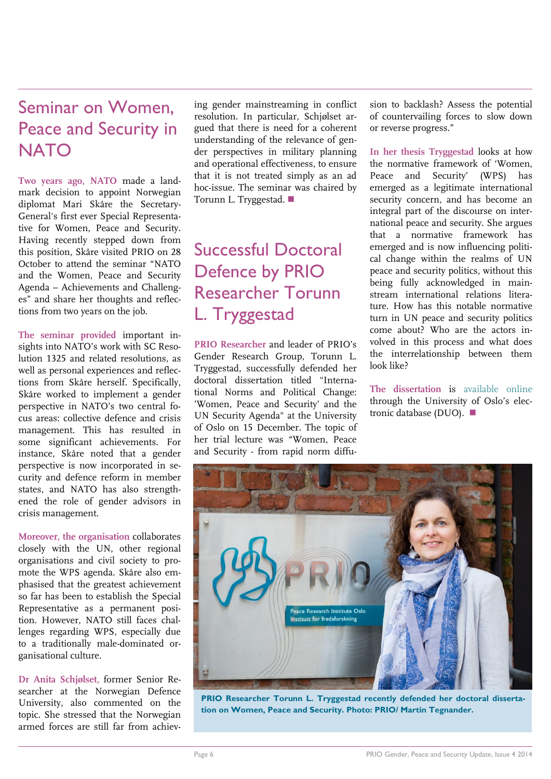### Seminar on Women, Peace and Security in **NATO**

**Two years ago, NATO** made a landmark decision to appoint Norwegian diplomat Mari Skåre the Secretary-General's first ever Special Representative for Women, Peace and Security. Having recently stepped down from this position, Skåre visited PRIO on 28 October to attend the seminar "NATO and the Women, Peace and Security Agenda – Achievements and Challenges" and share her thoughts and reflections from two years on the job.

**The seminar provided** important insights into NATO's work with SC Resolution 1325 and related resolutions, as well as personal experiences and reflections from Skåre herself. Specifically, Skåre worked to implement a gender perspective in NATO's two central focus areas: collective defence and crisis management. This has resulted in some significant achievements. For instance, Skåre noted that a gender perspective is now incorporated in security and defence reform in member states, and NATO has also strengthened the role of gender advisors in crisis management.

**Moreover, the organisation** collaborates closely with the UN, other regional organisations and civil society to promote the WPS agenda. Skåre also emphasised that the greatest achievement so far has been to establish the Special Representative as a permanent position. However, NATO still faces challenges regarding WPS, especially due to a traditionally male-dominated organisational culture.

**Dr Anita Schjølset,** former Senior Researcher at the Norwegian Defence University, also commented on the topic. She stressed that the Norwegian armed forces are still far from achiev-

ing gender mainstreaming in conflict resolution. In particular, Schjølset argued that there is need for a coherent understanding of the relevance of gender perspectives in military planning and operational effectiveness, to ensure that it is not treated simply as an ad hoc-issue. The seminar was chaired by Torunn L. Tryggestad.

### Successful Doctoral Defence by PRIO Researcher Torunn L. Tryggestad

**PRIO Researcher** and leader of PRIO's Gender Research Group, Torunn L. Tryggestad, successfully defended her doctoral dissertation titled "International Norms and Political Change: 'Women, Peace and Security' and the UN Security Agenda" at the University of Oslo on 15 December. The topic of her trial lecture was "Women, Peace and Security - from rapid norm diffusion to backlash? Assess the potential of countervailing forces to slow down or reverse progress."

**In her thesis Tryggestad** looks at how the normative framework of 'Women, Peace and Security' (WPS) has emerged as a legitimate international security concern, and has become an integral part of the discourse on international peace and security. She argues that a normative framework has emerged and is now influencing political change within the realms of UN peace and security politics, without this being fully acknowledged in mainstream international relations literature. How has this notable normative turn in UN peace and security politics come about? Who are the actors involved in this process and what does the interrelationship between them look like?

**The dissertation** is [available online](https://www.duo.uio.no/handle/10852/41763) through the University of Oslo's electronic database (DUO).



PRIO Researcher Torunn L. Tryggestad recently defended her doctoral disserta**tion on Women, Peace and Security. Photo: PRIO/ Martin Tegnander.**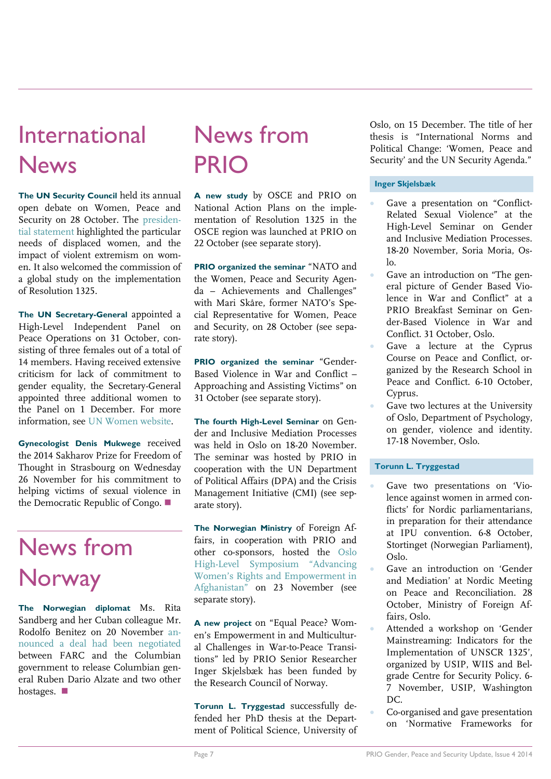## International News

**The UN Security Council** held its annual open debate on Women, Peace and Security on 28 October. The [presiden](http://www.securitycouncilreport.org/atf/cf/%7B65BFCF9B-6D27-4E9C-8CD3-CF6E4FF96FF9%7D/s_prst_2014_21.pdf)[tial statement](http://www.securitycouncilreport.org/atf/cf/%7B65BFCF9B-6D27-4E9C-8CD3-CF6E4FF96FF9%7D/s_prst_2014_21.pdf) highlighted the particular needs of displaced women, and the impact of violent extremism on women. It also welcomed the commission of a global study on the implementation of Resolution 1325.

**The UN Secretary-General** appointed a High-Level Independent Panel on Peace Operations on 31 October, consisting of three females out of a total of 14 members. Having received extensive criticism for lack of commitment to gender equality, the Secretary-General appointed three additional women to the Panel on 1 December. For more information, see [UN Women website.](http://www.unwomen.org/en/news/stories/2014/12/new-women-appointments-to-peace-operations-panel)

**Gynecologist Denis Mukwege** received the 2014 Sakharov Prize for Freedom of Thought in Strasbourg on Wednesday 26 November for his commitment to helping victims of sexual violence in the Democratic Republic of Congo.

## News from **Norway**

**The Norwegian diplomat** Ms. Rita Sandberg and her Cuban colleague Mr. Rodolfo Benitez on 20 November [an](http://www.reuters.com/article/2014/11/20/us-colombia-rebels-idUSKCN0J320720141120)[nounced a deal](http://www.reuters.com/article/2014/11/20/us-colombia-rebels-idUSKCN0J320720141120) had been negotiated between FARC and the Columbian government to release Columbian general Ruben Dario Alzate and two other hostages.

## News from PRIO

**A new study** by OSCE and PRIO on National Action Plans on the implementation of Resolution 1325 in the OSCE region was launched at PRIO on 22 October (see separate story).

**PRIO organized the seminar** "NATO and the Women, Peace and Security Agenda – Achievements and Challenges" with Mari Skåre, former NATO's Special Representative for Women, Peace and Security, on 28 October (see separate story).

**PRIO organized the seminar** "Gender-Based Violence in War and Conflict – Approaching and Assisting Victims" on 31 October (see separate story).

**The fourth High-Level Seminar** on Gender and Inclusive Mediation Processes was held in Oslo on 18-20 November. The seminar was hosted by PRIO in cooperation with the UN Department of Political Affairs (DPA) and the Crisis Management Initiative (CMI) (see separate story).

**The Norwegian Ministry** of Foreign Affairs, in cooperation with PRIO and other co-sponsors, hosted the [Oslo](http://www.afghanwomenoslosymposium.org/)  High-[Level Symposium "Advancing](http://www.afghanwomenoslosymposium.org/)  [Women's Rights and Empowerment in](http://www.afghanwomenoslosymposium.org/)  [Afghanistan"](http://www.afghanwomenoslosymposium.org/) on 23 November (see separate story).

**A new project** on "Equal Peace? Women's Empowerment in and Multicultural Challenges in War-to-Peace Transitions" led by PRIO Senior Researcher Inger Skjelsbæk has been funded by the Research Council of Norway.

**Torunn L. Tryggestad** successfully defended her PhD thesis at the Department of Political Science, University of Oslo, on 15 December. The title of her thesis is "International Norms and Political Change: 'Women, Peace and Security' and the UN Security Agenda."

#### **Inger Skjelsbæk**

- Gave a presentation on "Conflict-Related Sexual Violence" at the High-Level Seminar on Gender and Inclusive Mediation Processes. 18-20 November, Soria Moria, Os- $\ln$
- Gave an introduction on "The general picture of Gender Based Violence in War and Conflict" at a PRIO Breakfast Seminar on Gender-Based Violence in War and Conflict. 31 October, Oslo.
- Gave a lecture at the Cyprus Course on Peace and Conflict, organized by the Research School in Peace and Conflict. 6-10 October, Cyprus.
- Gave two lectures at the University of Oslo, Department of Psychology, on gender, violence and identity. 17-18 November, Oslo.

#### **Torunn L. Tryggestad**

- Gave two presentations on 'Violence against women in armed conflicts' for Nordic parliamentarians, in preparation for their attendance at IPU convention. 6-8 October, Stortinget (Norwegian Parliament), Oslo.
- Gave an introduction on 'Gender and Mediation' at Nordic Meeting on Peace and Reconciliation. 28 October, Ministry of Foreign Affairs, Oslo.
- Attended a workshop on 'Gender Mainstreaming: Indicators for the Implementation of UNSCR 1325', organized by USIP, WIIS and Belgrade Centre for Security Policy. 6- 7 November, USIP, Washington DC.
- Co-organised and gave presentation on 'Normative Frameworks for